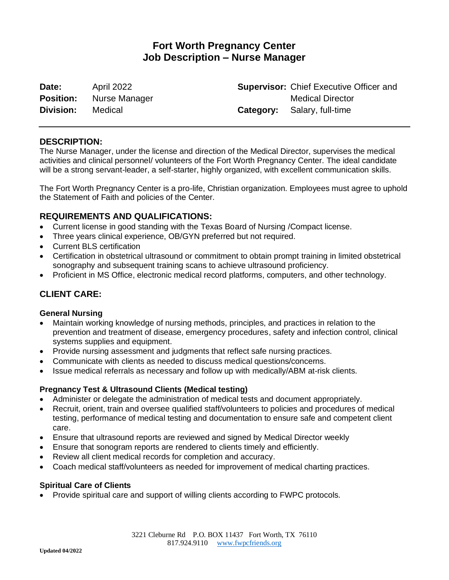# **Fort Worth Pregnancy Center Job Description – Nurse Manager**

**Date:** April 2022 **Position:** Nurse Manager **Division:** Medical

**Supervisor:** Chief Executive Officer and Medical Director **Category:** Salary, full-time

### **DESCRIPTION:**

The Nurse Manager, under the license and direction of the Medical Director, supervises the medical activities and clinical personnel/ volunteers of the Fort Worth Pregnancy Center. The ideal candidate will be a strong servant-leader, a self-starter, highly organized, with excellent communication skills.

The Fort Worth Pregnancy Center is a pro-life, Christian organization. Employees must agree to uphold the Statement of Faith and policies of the Center.

### **REQUIREMENTS AND QUALIFICATIONS:**

- Current license in good standing with the Texas Board of Nursing /Compact license.
- Three years clinical experience, OB/GYN preferred but not required.
- Current BLS certification
- Certification in obstetrical ultrasound or commitment to obtain prompt training in limited obstetrical sonography and subsequent training scans to achieve ultrasound proficiency.
- Proficient in MS Office, electronic medical record platforms, computers, and other technology.

## **CLIENT CARE:**

#### **General Nursing**

- Maintain working knowledge of nursing methods, principles, and practices in relation to the prevention and treatment of disease, emergency procedures, safety and infection control, clinical systems supplies and equipment.
- Provide nursing assessment and judgments that reflect safe nursing practices.
- Communicate with clients as needed to discuss medical questions/concerns.
- Issue medical referrals as necessary and follow up with medically/ABM at-risk clients.

#### **Pregnancy Test & Ultrasound Clients (Medical testing)**

- Administer or delegate the administration of medical tests and document appropriately.
- Recruit, orient, train and oversee qualified staff/volunteers to policies and procedures of medical testing, performance of medical testing and documentation to ensure safe and competent client care.
- Ensure that ultrasound reports are reviewed and signed by Medical Director weekly
- Ensure that sonogram reports are rendered to clients timely and efficiently.
- Review all client medical records for completion and accuracy.
- Coach medical staff/volunteers as needed for improvement of medical charting practices.

#### **Spiritual Care of Clients**

• Provide spiritual care and support of willing clients according to FWPC protocols.